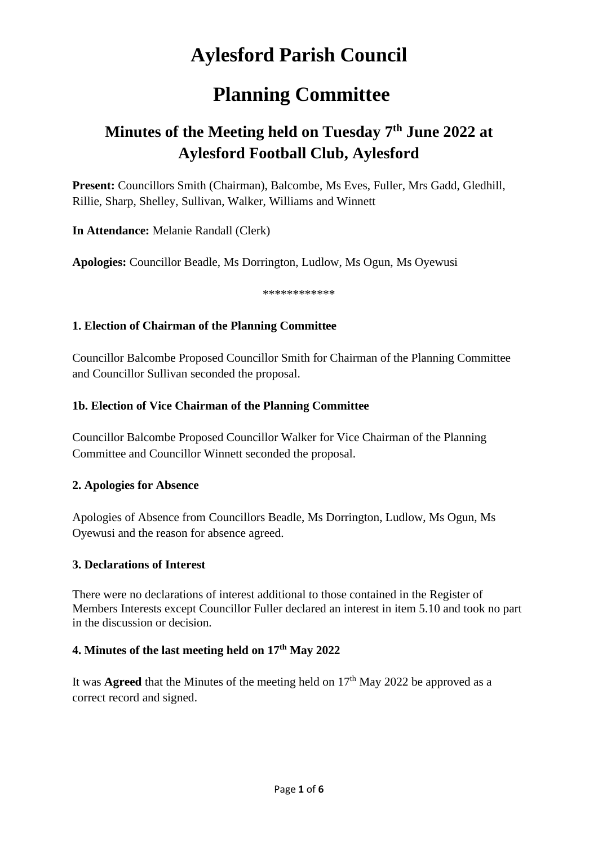# **Aylesford Parish Council**

# **Planning Committee**

# **Minutes of the Meeting held on Tuesday 7 th June 2022 at Aylesford Football Club, Aylesford**

**Present:** Councillors Smith (Chairman), Balcombe, Ms Eves, Fuller, Mrs Gadd, Gledhill, Rillie, Sharp, Shelley, Sullivan, Walker, Williams and Winnett

**In Attendance:** Melanie Randall (Clerk)

**Apologies:** Councillor Beadle, Ms Dorrington, Ludlow, Ms Ogun, Ms Oyewusi

\*\*\*\*\*\*\*\*\*\*\*\*

## **1. Election of Chairman of the Planning Committee**

Councillor Balcombe Proposed Councillor Smith for Chairman of the Planning Committee and Councillor Sullivan seconded the proposal.

# **1b. Election of Vice Chairman of the Planning Committee**

Councillor Balcombe Proposed Councillor Walker for Vice Chairman of the Planning Committee and Councillor Winnett seconded the proposal.

## **2. Apologies for Absence**

Apologies of Absence from Councillors Beadle, Ms Dorrington, Ludlow, Ms Ogun, Ms Oyewusi and the reason for absence agreed.

## **3. Declarations of Interest**

There were no declarations of interest additional to those contained in the Register of Members Interests except Councillor Fuller declared an interest in item 5.10 and took no part in the discussion or decision.

## **4. Minutes of the last meeting held on 17th May 2022**

It was **Agreed** that the Minutes of the meeting held on  $17<sup>th</sup>$  May 2022 be approved as a correct record and signed.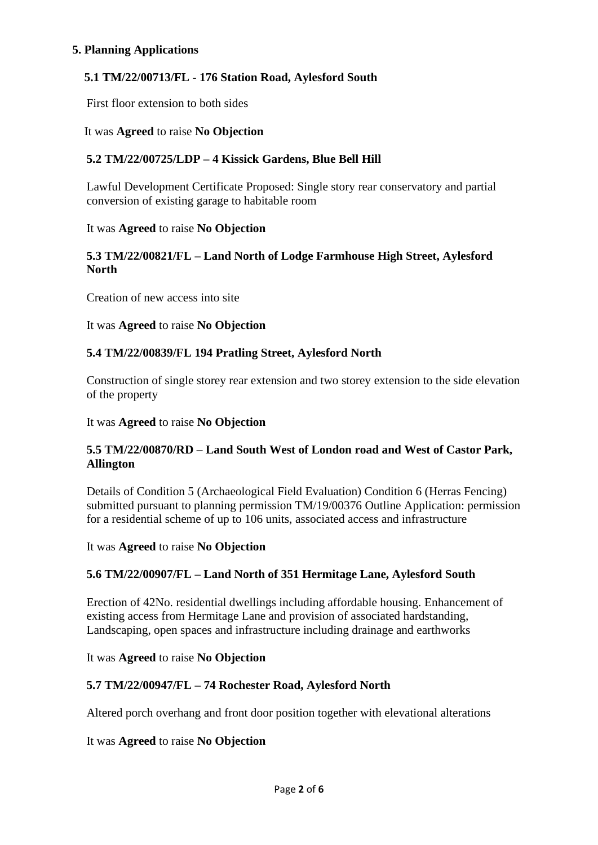#### **5. Planning Applications**

## **5.1 TM/22/00713/FL - 176 Station Road, Aylesford South**

First floor extension to both sides

#### It was **Agreed** to raise **No Objection**

## **5.2 TM/22/00725/LDP – 4 Kissick Gardens, Blue Bell Hill**

Lawful Development Certificate Proposed: Single story rear conservatory and partial conversion of existing garage to habitable room

#### It was **Agreed** to raise **No Objection**

#### **5.3 TM/22/00821/FL – Land North of Lodge Farmhouse High Street, Aylesford North**

Creation of new access into site

It was **Agreed** to raise **No Objection**

#### **5.4 TM/22/00839/FL 194 Pratling Street, Aylesford North**

Construction of single storey rear extension and two storey extension to the side elevation of the property

It was **Agreed** to raise **No Objection**

## **5.5 TM/22/00870/RD – Land South West of London road and West of Castor Park, Allington**

Details of Condition 5 (Archaeological Field Evaluation) Condition 6 (Herras Fencing) submitted pursuant to planning permission TM/19/00376 Outline Application: permission for a residential scheme of up to 106 units, associated access and infrastructure

It was **Agreed** to raise **No Objection**

## **5.6 TM/22/00907/FL – Land North of 351 Hermitage Lane, Aylesford South**

Erection of 42No. residential dwellings including affordable housing. Enhancement of existing access from Hermitage Lane and provision of associated hardstanding, Landscaping, open spaces and infrastructure including drainage and earthworks

#### It was **Agreed** to raise **No Objection**

## **5.7 TM/22/00947/FL – 74 Rochester Road, Aylesford North**

Altered porch overhang and front door position together with elevational alterations

It was **Agreed** to raise **No Objection**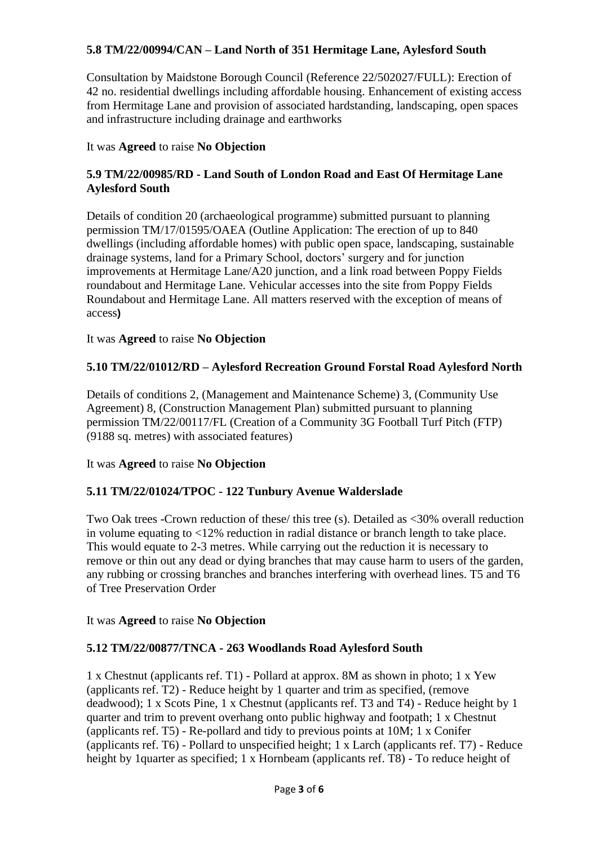## **5.8 TM/22/00994/CAN – Land North of 351 Hermitage Lane, Aylesford South**

Consultation by Maidstone Borough Council (Reference 22/502027/FULL): Erection of 42 no. residential dwellings including affordable housing. Enhancement of existing access from Hermitage Lane and provision of associated hardstanding, landscaping, open spaces and infrastructure including drainage and earthworks

## It was **Agreed** to raise **No Objection**

# **5.9 TM/22/00985/RD - Land South of London Road and East Of Hermitage Lane Aylesford South**

Details of condition 20 (archaeological programme) submitted pursuant to planning permission TM/17/01595/OAEA (Outline Application: The erection of up to 840 dwellings (including affordable homes) with public open space, landscaping, sustainable drainage systems, land for a Primary School, doctors' surgery and for junction improvements at Hermitage Lane/A20 junction, and a link road between Poppy Fields roundabout and Hermitage Lane. Vehicular accesses into the site from Poppy Fields Roundabout and Hermitage Lane. All matters reserved with the exception of means of access**)**

## It was **Agreed** to raise **No Objection**

# **5.10 TM/22/01012/RD – Aylesford Recreation Ground Forstal Road Aylesford North**

Details of conditions 2, (Management and Maintenance Scheme) 3, (Community Use Agreement) 8, (Construction Management Plan) submitted pursuant to planning permission TM/22/00117/FL (Creation of a Community 3G Football Turf Pitch (FTP) (9188 sq. metres) with associated features)

It was **Agreed** to raise **No Objection**

## **5.11 TM/22/01024/TPOC - 122 Tunbury Avenue Walderslade**

Two Oak trees -Crown reduction of these/ this tree (s). Detailed as <30% overall reduction in volume equating to <12% reduction in radial distance or branch length to take place. This would equate to 2-3 metres. While carrying out the reduction it is necessary to remove or thin out any dead or dying branches that may cause harm to users of the garden, any rubbing or crossing branches and branches interfering with overhead lines. T5 and T6 of Tree Preservation Order

It was **Agreed** to raise **No Objection**

## **5.12 TM/22/00877/TNCA - 263 Woodlands Road Aylesford South**

1 x Chestnut (applicants ref. T1) - Pollard at approx. 8M as shown in photo; 1 x Yew (applicants ref. T2) - Reduce height by 1 quarter and trim as specified, (remove deadwood); 1 x Scots Pine, 1 x Chestnut (applicants ref. T3 and T4) - Reduce height by 1 quarter and trim to prevent overhang onto public highway and footpath; 1 x Chestnut (applicants ref. T5) - Re-pollard and tidy to previous points at 10M; 1 x Conifer (applicants ref. T6) - Pollard to unspecified height; 1 x Larch (applicants ref. T7) - Reduce height by 1quarter as specified; 1 x Hornbeam (applicants ref. T8) - To reduce height of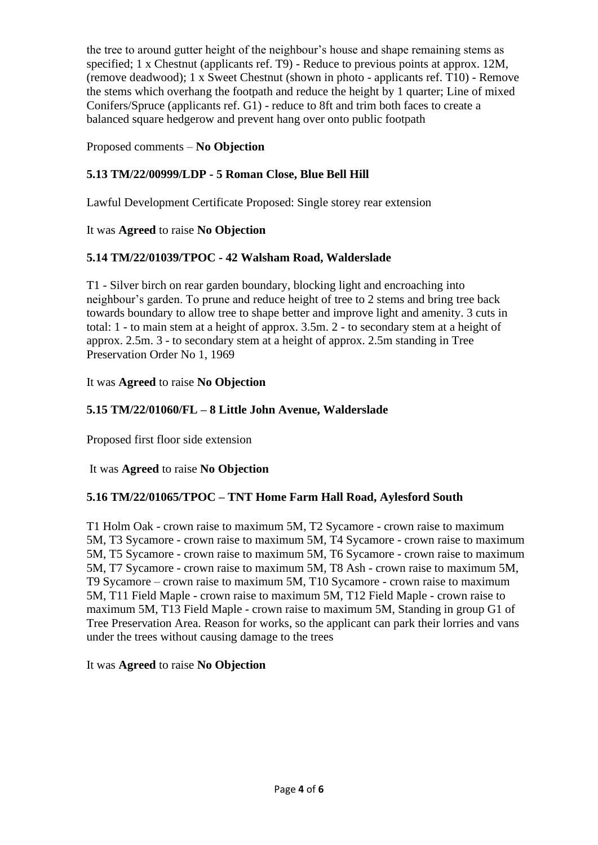the tree to around gutter height of the neighbour's house and shape remaining stems as specified; 1 x Chestnut (applicants ref. T9) - Reduce to previous points at approx. 12M, (remove deadwood); 1 x Sweet Chestnut (shown in photo - applicants ref. T10) - Remove the stems which overhang the footpath and reduce the height by 1 quarter; Line of mixed Conifers/Spruce (applicants ref. G1) - reduce to 8ft and trim both faces to create a balanced square hedgerow and prevent hang over onto public footpath

Proposed comments – **No Objection** 

# **5.13 TM/22/00999/LDP - 5 Roman Close, Blue Bell Hill**

Lawful Development Certificate Proposed: Single storey rear extension

# It was **Agreed** to raise **No Objection**

# **5.14 TM/22/01039/TPOC - 42 Walsham Road, Walderslade**

T1 - Silver birch on rear garden boundary, blocking light and encroaching into neighbour's garden. To prune and reduce height of tree to 2 stems and bring tree back towards boundary to allow tree to shape better and improve light and amenity. 3 cuts in total: 1 - to main stem at a height of approx. 3.5m. 2 - to secondary stem at a height of approx. 2.5m. 3 - to secondary stem at a height of approx. 2.5m standing in Tree Preservation Order No 1, 1969

# It was **Agreed** to raise **No Objection**

# **5.15 TM/22/01060/FL – 8 Little John Avenue, Walderslade**

Proposed first floor side extension

It was **Agreed** to raise **No Objection**

# **5.16 TM/22/01065/TPOC – TNT Home Farm Hall Road, Aylesford South**

T1 Holm Oak - crown raise to maximum 5M, T2 Sycamore - crown raise to maximum 5M, T3 Sycamore - crown raise to maximum 5M, T4 Sycamore - crown raise to maximum 5M, T5 Sycamore - crown raise to maximum 5M, T6 Sycamore - crown raise to maximum 5M, T7 Sycamore - crown raise to maximum 5M, T8 Ash - crown raise to maximum 5M, T9 Sycamore – crown raise to maximum 5M, T10 Sycamore - crown raise to maximum 5M, T11 Field Maple - crown raise to maximum 5M, T12 Field Maple - crown raise to maximum 5M, T13 Field Maple - crown raise to maximum 5M, Standing in group G1 of Tree Preservation Area. Reason for works, so the applicant can park their lorries and vans under the trees without causing damage to the trees

## It was **Agreed** to raise **No Objection**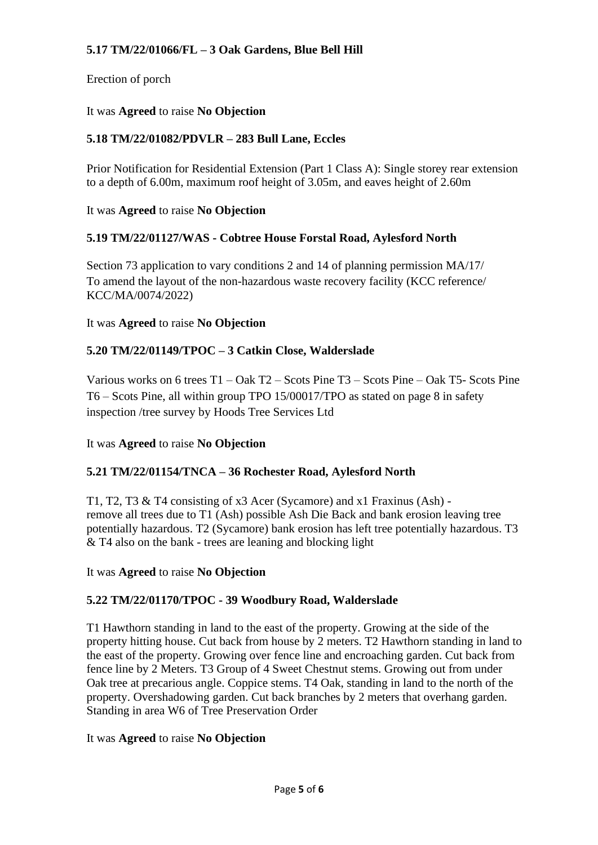# **5.17 TM/22/01066/FL – 3 Oak Gardens, Blue Bell Hill**

Erection of porch

## It was **Agreed** to raise **No Objection**

# **5.18 TM/22/01082/PDVLR – 283 Bull Lane, Eccles**

Prior Notification for Residential Extension (Part 1 Class A): Single storey rear extension to a depth of 6.00m, maximum roof height of 3.05m, and eaves height of 2.60m

It was **Agreed** to raise **No Objection**

## **5.19 TM/22/01127/WAS - Cobtree House Forstal Road, Aylesford North**

Section 73 application to vary conditions 2 and 14 of planning permission MA/17/ To amend the layout of the non-hazardous waste recovery facility (KCC reference/ KCC/MA/0074/2022)

#### It was **Agreed** to raise **No Objection**

## **5.20 TM/22/01149/TPOC – 3 Catkin Close, Walderslade**

Various works on 6 trees T1 – Oak T2 – Scots Pine T3 – Scots Pine – Oak T5- Scots Pine T6 – Scots Pine, all within group TPO 15/00017/TPO as stated on page 8 in safety inspection /tree survey by Hoods Tree Services Ltd

## It was **Agreed** to raise **No Objection**

## **5.21 TM/22/01154/TNCA – 36 Rochester Road, Aylesford North**

T1, T2, T3 & T4 consisting of x3 Acer (Sycamore) and x1 Fraxinus (Ash) remove all trees due to T1 (Ash) possible Ash Die Back and bank erosion leaving tree potentially hazardous. T2 (Sycamore) bank erosion has left tree potentially hazardous. T3 & T4 also on the bank - trees are leaning and blocking light

It was **Agreed** to raise **No Objection**

#### **5.22 TM/22/01170/TPOC - 39 Woodbury Road, Walderslade**

T1 Hawthorn standing in land to the east of the property. Growing at the side of the property hitting house. Cut back from house by 2 meters. T2 Hawthorn standing in land to the east of the property. Growing over fence line and encroaching garden. Cut back from fence line by 2 Meters. T3 Group of 4 Sweet Chestnut stems. Growing out from under Oak tree at precarious angle. Coppice stems. T4 Oak, standing in land to the north of the property. Overshadowing garden. Cut back branches by 2 meters that overhang garden. Standing in area W6 of Tree Preservation Order

#### It was **Agreed** to raise **No Objection**